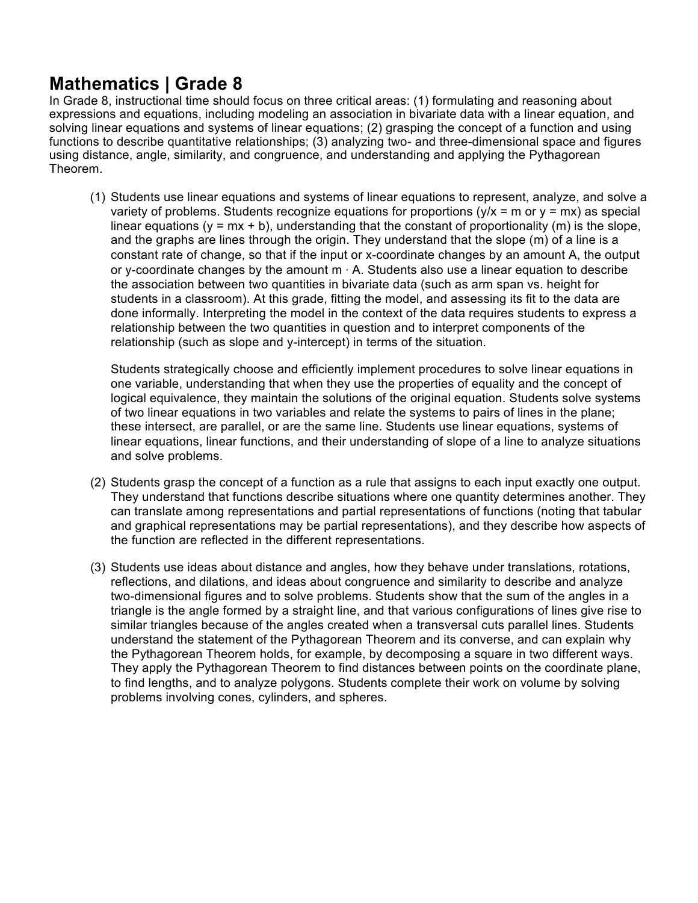# **Mathematics | Grade 8**

In Grade 8, instructional time should focus on three critical areas: (1) formulating and reasoning about expressions and equations, including modeling an association in bivariate data with a linear equation, and solving linear equations and systems of linear equations; (2) grasping the concept of a function and using functions to describe quantitative relationships; (3) analyzing two- and three-dimensional space and figures using distance, angle, similarity, and congruence, and understanding and applying the Pythagorean Theorem.

(1) Students use linear equations and systems of linear equations to represent, analyze, and solve a variety of problems. Students recognize equations for proportions  $(y/x = m$  or  $y = mx)$  as special linear equations ( $y = mx + b$ ), understanding that the constant of proportionality (m) is the slope, and the graphs are lines through the origin. They understand that the slope (m) of a line is a constant rate of change, so that if the input or x-coordinate changes by an amount A, the output or y-coordinate changes by the amount m ⋅ A. Students also use a linear equation to describe the association between two quantities in bivariate data (such as arm span vs. height for students in a classroom). At this grade, fitting the model, and assessing its fit to the data are done informally. Interpreting the model in the context of the data requires students to express a relationship between the two quantities in question and to interpret components of the relationship (such as slope and y-intercept) in terms of the situation.

Students strategically choose and efficiently implement procedures to solve linear equations in one variable, understanding that when they use the properties of equality and the concept of logical equivalence, they maintain the solutions of the original equation. Students solve systems of two linear equations in two variables and relate the systems to pairs of lines in the plane; these intersect, are parallel, or are the same line. Students use linear equations, systems of linear equations, linear functions, and their understanding of slope of a line to analyze situations and solve problems.

- (2) Students grasp the concept of a function as a rule that assigns to each input exactly one output. They understand that functions describe situations where one quantity determines another. They can translate among representations and partial representations of functions (noting that tabular and graphical representations may be partial representations), and they describe how aspects of the function are reflected in the different representations.
- (3) Students use ideas about distance and angles, how they behave under translations, rotations, reflections, and dilations, and ideas about congruence and similarity to describe and analyze two-dimensional figures and to solve problems. Students show that the sum of the angles in a triangle is the angle formed by a straight line, and that various configurations of lines give rise to similar triangles because of the angles created when a transversal cuts parallel lines. Students understand the statement of the Pythagorean Theorem and its converse, and can explain why the Pythagorean Theorem holds, for example, by decomposing a square in two different ways. They apply the Pythagorean Theorem to find distances between points on the coordinate plane, to find lengths, and to analyze polygons. Students complete their work on volume by solving problems involving cones, cylinders, and spheres.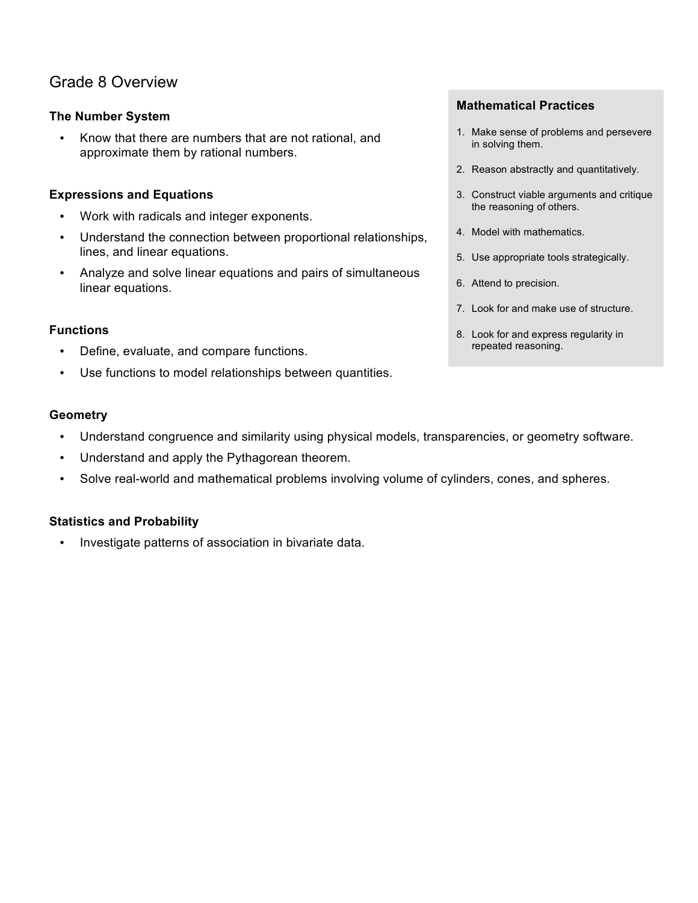# Grade 8 Overview

# **The Number System**

• Know that there are numbers that are not rational, and approximate them by rational numbers.

# **Expressions and Equations**

- Work with radicals and integer exponents.
- Understand the connection between proportional relationships, lines, and linear equations.
- Analyze and solve linear equations and pairs of simultaneous linear equations.

# **Functions**

- Define, evaluate, and compare functions.
- Use functions to model relationships between quantities.

# **Mathematical Practices**

- 1. Make sense of problems and persevere in solving them.
- 2. Reason abstractly and quantitatively.
- 3. Construct viable arguments and critique the reasoning of others.
- 4. Model with mathematics.
- 5. Use appropriate tools strategically.
- 6. Attend to precision.
- 7. Look for and make use of structure.
- 8. Look for and express regularity in repeated reasoning.

# **Geometry**

- Understand congruence and similarity using physical models, transparencies, or geometry software.
- Understand and apply the Pythagorean theorem.
- Solve real-world and mathematical problems involving volume of cylinders, cones, and spheres.

# **Statistics and Probability**

• Investigate patterns of association in bivariate data.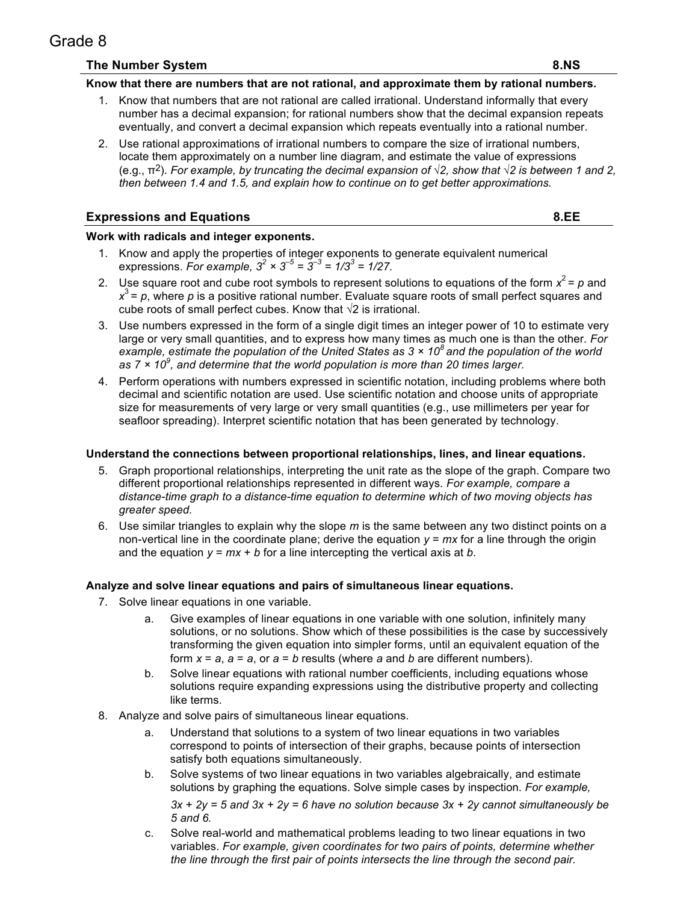# Grade 8

# **The Number System 8.NS**

#### **Know that there are numbers that are not rational, and approximate them by rational numbers.**

- 1. Know that numbers that are not rational are called irrational. Understand informally that every number has a decimal expansion; for rational numbers show that the decimal expansion repeats eventually, and convert a decimal expansion which repeats eventually into a rational number.
- 2. Use rational approximations of irrational numbers to compare the size of irrational numbers, locate them approximately on a number line diagram, and estimate the value of expressions (e.g.,  $π^2$ ). *For example, by truncating the decimal expansion of*  $\sqrt{2}$ , show that  $\sqrt{2}$  is between 1 and 2, *then between 1.4 and 1.5, and explain how to continue on to get better approximations.*

# **Expressions and Equations 8.EE**

#### **Work with radicals and integer exponents.**

- 1. Know and apply the properties of integer exponents to generate equivalent numerical expressions. *For example,*  $3^2 \times 3^{-5} = 3^{-3} = 1/3^3 = 1/27$ .
- 2. Use square root and cube root symbols to represent solutions to equations of the form  $x^2 = p$  and  $x^3$  =  $\rho$ , where  $\rho$  is a positive rational number. Evaluate square roots of small perfect squares and cube roots of small perfect cubes. Know that  $\sqrt{2}$  is irrational.
- 3. Use numbers expressed in the form of a single digit times an integer power of 10 to estimate very large or very small quantities, and to express how many times as much one is than the other. *For example, estimate the population of the United States as 3 × 108 and the population of the world as 7 × 10<sup>9</sup> , and determine that the world population is more than 20 times larger.*
- 4. Perform operations with numbers expressed in scientific notation, including problems where both decimal and scientific notation are used. Use scientific notation and choose units of appropriate size for measurements of very large or very small quantities (e.g., use millimeters per year for seafloor spreading). Interpret scientific notation that has been generated by technology.

#### **Understand the connections between proportional relationships, lines, and linear equations.**

- 5. Graph proportional relationships, interpreting the unit rate as the slope of the graph. Compare two different proportional relationships represented in different ways. *For example, compare a distance-time graph to a distance-time equation to determine which of two moving objects has greater speed.*
- 6. Use similar triangles to explain why the slope *m* is the same between any two distinct points on a non-vertical line in the coordinate plane; derive the equation  $y = mx$  for a line through the origin and the equation  $y = mx + b$  for a line intercepting the vertical axis at *b*.

#### **Analyze and solve linear equations and pairs of simultaneous linear equations.**

- 7. Solve linear equations in one variable.
	- a. Give examples of linear equations in one variable with one solution, infinitely many solutions, or no solutions. Show which of these possibilities is the case by successively transforming the given equation into simpler forms, until an equivalent equation of the form  $x = a$ ,  $a = a$ , or  $a = b$  results (where  $a$  and  $b$  are different numbers).
	- b. Solve linear equations with rational number coefficients, including equations whose solutions require expanding expressions using the distributive property and collecting like terms.
- 8. Analyze and solve pairs of simultaneous linear equations.
	- a. Understand that solutions to a system of two linear equations in two variables correspond to points of intersection of their graphs, because points of intersection satisfy both equations simultaneously.
	- b. Solve systems of two linear equations in two variables algebraically, and estimate solutions by graphing the equations. Solve simple cases by inspection. *For example,*

*3x + 2y = 5 and 3x + 2y = 6 have no solution because 3x + 2y cannot simultaneously be 5 and 6.*

c. Solve real-world and mathematical problems leading to two linear equations in two variables. *For example, given coordinates for two pairs of points, determine whether the line through the first pair of points intersects the line through the second pair.*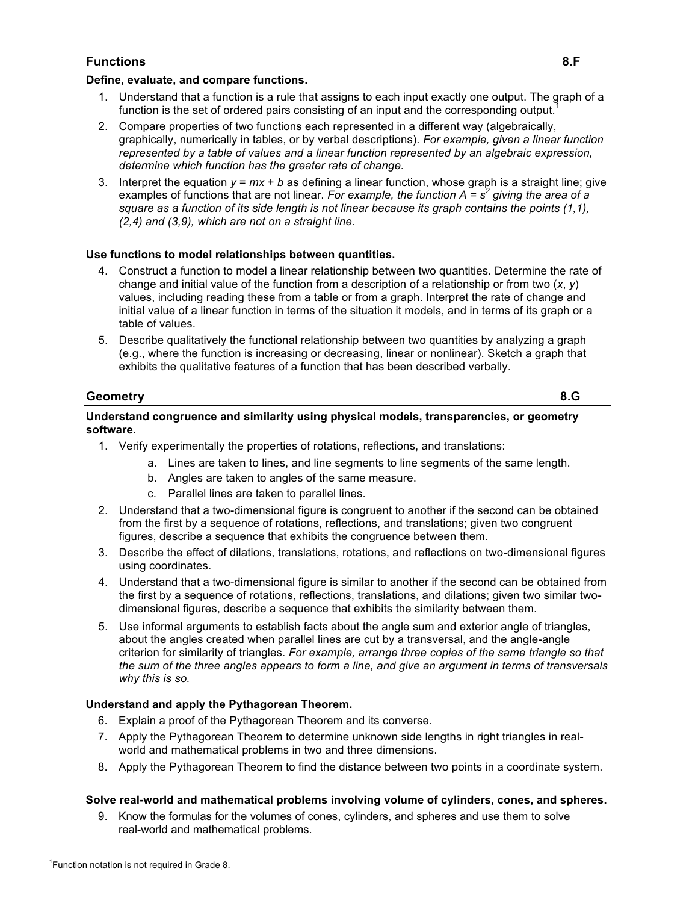#### **Define, evaluate, and compare functions.**

- 1. Understand that a function is a rule that assigns to each input exactly one output. The graph of a function is the set of ordered pairs consisting of an input and the corresponding output.
- 2. Compare properties of two functions each represented in a different way (algebraically, graphically, numerically in tables, or by verbal descriptions). *For example, given a linear function represented by a table of values and a linear function represented by an algebraic expression, determine which function has the greater rate of change.*
- 3. Interpret the equation *y* = *mx* + *b* as defining a linear function, whose graph is a straight line; give examples of functions that are not linear. *For example, the function A = s<sup>2</sup> giving the area of a square as a function of its side length is not linear because its graph contains the points (1,1), (2,4) and (3,9), which are not on a straight line.*

#### **Use functions to model relationships between quantities.**

- 4. Construct a function to model a linear relationship between two quantities. Determine the rate of change and initial value of the function from a description of a relationship or from two (*x*, *y*) values, including reading these from a table or from a graph. Interpret the rate of change and initial value of a linear function in terms of the situation it models, and in terms of its graph or a table of values.
- 5. Describe qualitatively the functional relationship between two quantities by analyzing a graph (e.g., where the function is increasing or decreasing, linear or nonlinear). Sketch a graph that exhibits the qualitative features of a function that has been described verbally.

#### **Geometry 8.G**

#### **Understand congruence and similarity using physical models, transparencies, or geometry software.**

- 1. Verify experimentally the properties of rotations, reflections, and translations:
	- a. Lines are taken to lines, and line segments to line segments of the same length.
	- b. Angles are taken to angles of the same measure.
	- c. Parallel lines are taken to parallel lines.
- 2. Understand that a two-dimensional figure is congruent to another if the second can be obtained from the first by a sequence of rotations, reflections, and translations; given two congruent figures, describe a sequence that exhibits the congruence between them.
- 3. Describe the effect of dilations, translations, rotations, and reflections on two-dimensional figures using coordinates.
- 4. Understand that a two-dimensional figure is similar to another if the second can be obtained from the first by a sequence of rotations, reflections, translations, and dilations; given two similar twodimensional figures, describe a sequence that exhibits the similarity between them.
- 5. Use informal arguments to establish facts about the angle sum and exterior angle of triangles, about the angles created when parallel lines are cut by a transversal, and the angle-angle criterion for similarity of triangles. *For example, arrange three copies of the same triangle so that the sum of the three angles appears to form a line, and give an argument in terms of transversals why this is so.*

#### **Understand and apply the Pythagorean Theorem.**

- 6. Explain a proof of the Pythagorean Theorem and its converse.
- 7. Apply the Pythagorean Theorem to determine unknown side lengths in right triangles in realworld and mathematical problems in two and three dimensions.
- 8. Apply the Pythagorean Theorem to find the distance between two points in a coordinate system.

#### **Solve real-world and mathematical problems involving volume of cylinders, cones, and spheres.**

9. Know the formulas for the volumes of cones, cylinders, and spheres and use them to solve real-world and mathematical problems.